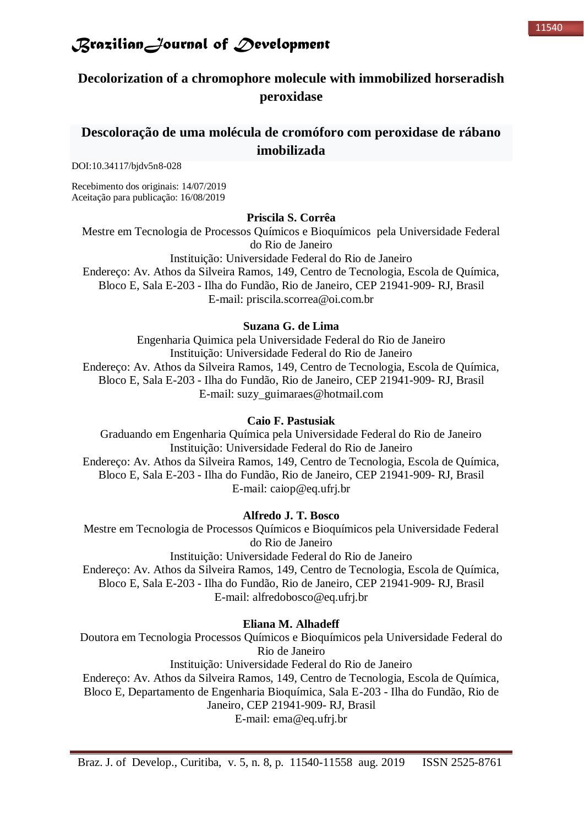### **Decolorization of a chromophore molecule with immobilized horseradish peroxidase**

### **Descoloração de uma molécula de cromóforo com peroxidase de rábano imobilizada**

DOI:10.34117/bjdv5n8-028

Recebimento dos originais: 14/07/2019 Aceitação para publicação: 16/08/2019

#### **Priscila S. Corrêa**

Mestre em Tecnologia de Processos Químicos e Bioquímicos pela Universidade Federal do Rio de Janeiro

Instituição: Universidade Federal do Rio de Janeiro

Endereço: Av. Athos da Silveira Ramos, 149, Centro de Tecnologia, Escola de Química, Bloco E, Sala E-203 - Ilha do Fundão, Rio de Janeiro, CEP 21941-909- RJ, Brasil E-mail: [priscila.scorrea@oi.com.br](mailto:priscila.scorrea@oi.com.br)

#### **Suzana G. de Lima**

Engenharia Quimica pela Universidade Federal do Rio de Janeiro Instituição: Universidade Federal do Rio de Janeiro Endereço: Av. Athos da Silveira Ramos, 149, Centro de Tecnologia, Escola de Química, Bloco E, Sala E-203 - Ilha do Fundão, Rio de Janeiro, CEP 21941-909- RJ, Brasil E-mail: [suzy\\_guimaraes@hotmail.com](mailto:suzy_guimaraes@hotmail.com)

#### **Caio F. Pastusiak**

Graduando em Engenharia Química pela Universidade Federal do Rio de Janeiro Instituição: Universidade Federal do Rio de Janeiro Endereço: Av. Athos da Silveira Ramos, 149, Centro de Tecnologia, Escola de Química, Bloco E, Sala E-203 - Ilha do Fundão, Rio de Janeiro, CEP 21941-909- RJ, Brasil E-mail: [caiop@eq.ufrj.br](mailto:caiop@eq.ufrj.br)

#### **Alfredo J. T. Bosco**

Mestre em Tecnologia de Processos Químicos e Bioquímicos pela Universidade Federal do Rio de Janeiro Instituição: Universidade Federal do Rio de Janeiro Endereço: Av. Athos da Silveira Ramos, 149, Centro de Tecnologia, Escola de Química, Bloco E, Sala E-203 - Ilha do Fundão, Rio de Janeiro, CEP 21941-909- RJ, Brasil E-mail: [alfredobosco@eq.ufrj.br](mailto:alfredobosco@eq.ufrj.br)

#### **Eliana M. Alhadeff**

Doutora em Tecnologia Processos Químicos e Bioquímicos pela Universidade Federal do Rio de Janeiro Instituição: Universidade Federal do Rio de Janeiro Endereço: Av. Athos da Silveira Ramos, 149, Centro de Tecnologia, Escola de Química,

Bloco E, Departamento de Engenharia Bioquímica, Sala E-203 - Ilha do Fundão, Rio de

Janeiro, CEP 21941-909- RJ, Brasil E-mail: [ema@eq.ufrj.br](mailto:ema@eq.ufrj.br)

Braz. J. of Develop., Curitiba, v. 5, n. 8, p. 11540-11558 aug. 2019 ISSN 2525-8761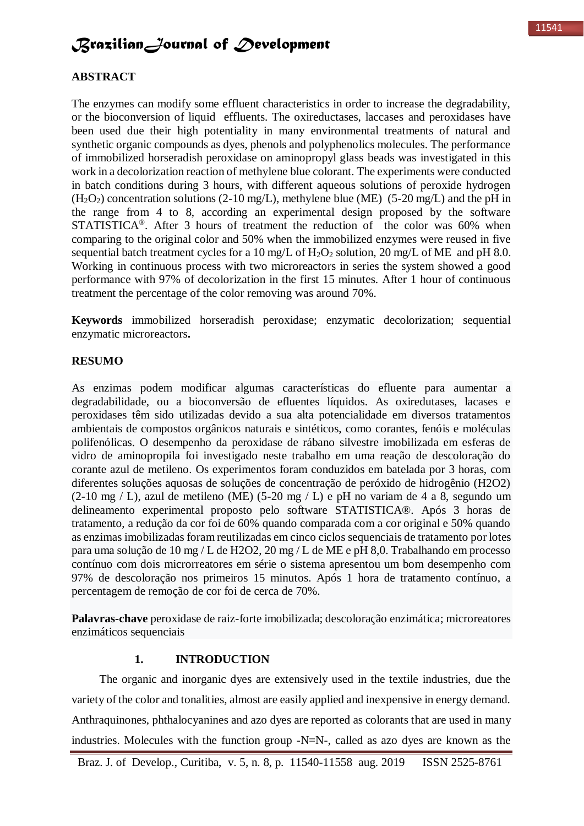#### **ABSTRACT**

The enzymes can modify some effluent characteristics in order to increase the degradability, or the bioconversion of liquid effluents. The oxireductases, laccases and peroxidases have been used due their high potentiality in many environmental treatments of natural and synthetic organic compounds as dyes, phenols and polyphenolics molecules. The performance of immobilized horseradish peroxidase on aminopropyl glass beads was investigated in this work in a decolorization reaction of methylene blue colorant. The experiments were conducted in batch conditions during 3 hours, with different aqueous solutions of peroxide hydrogen  $(H<sub>2</sub>O<sub>2</sub>)$  concentration solutions (2-10 mg/L), methylene blue (ME) (5-20 mg/L) and the pH in the range from 4 to 8, according an experimental design proposed by the software STATISTICA<sup>®</sup>. After 3 hours of treatment the reduction of the color was 60% when comparing to the original color and 50% when the immobilized enzymes were reused in five sequential batch treatment cycles for a 10 mg/L of  $H_2O_2$  solution, 20 mg/L of ME and pH 8.0. Working in continuous process with two microreactors in series the system showed a good performance with 97% of decolorization in the first 15 minutes. After 1 hour of continuous treatment the percentage of the color removing was around 70%.

**Keywords** immobilized horseradish peroxidase; enzymatic decolorization; sequential enzymatic microreactors**.**

#### **RESUMO**

As enzimas podem modificar algumas características do efluente para aumentar a degradabilidade, ou a bioconversão de efluentes líquidos. As oxiredutases, lacases e peroxidases têm sido utilizadas devido a sua alta potencialidade em diversos tratamentos ambientais de compostos orgânicos naturais e sintéticos, como corantes, fenóis e moléculas polifenólicas. O desempenho da peroxidase de rábano silvestre imobilizada em esferas de vidro de aminopropila foi investigado neste trabalho em uma reação de descoloração do corante azul de metileno. Os experimentos foram conduzidos em batelada por 3 horas, com diferentes soluções aquosas de soluções de concentração de peróxido de hidrogênio (H2O2) (2-10 mg / L), azul de metileno (ME) (5-20 mg / L) e pH no variam de 4 a 8, segundo um delineamento experimental proposto pelo software STATISTICA®. Após 3 horas de tratamento, a redução da cor foi de 60% quando comparada com a cor original e 50% quando as enzimas imobilizadas foram reutilizadas em cinco ciclos sequenciais de tratamento por lotes para uma solução de 10 mg / L de H2O2, 20 mg / L de ME e pH 8,0. Trabalhando em processo contínuo com dois microrreatores em série o sistema apresentou um bom desempenho com 97% de descoloração nos primeiros 15 minutos. Após 1 hora de tratamento contínuo, a percentagem de remoção de cor foi de cerca de 70%.

**Palavras-chave** peroxidase de raiz-forte imobilizada; descoloração enzimática; microreatores enzimáticos sequenciais

#### **1. INTRODUCTION**

The organic and inorganic dyes are extensively used in the textile industries, due the variety of the color and tonalities, almost are easily applied and inexpensive in energy demand. Anthraquinones, phthalocyanines and azo dyes are reported as colorants that are used in many industries. Molecules with the function group -N=N-, called as azo dyes are known as the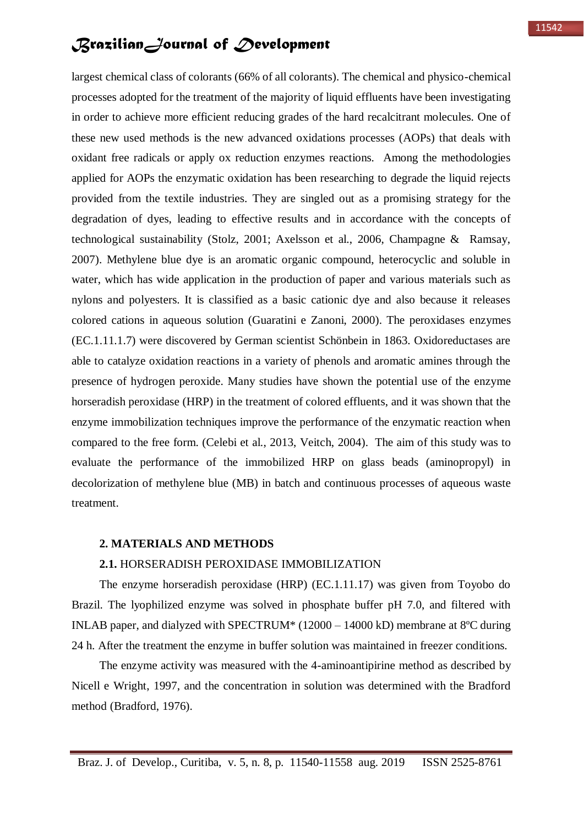largest chemical class of colorants (66% of all colorants). The chemical and physico-chemical processes adopted for the treatment of the majority of liquid effluents have been investigating in order to achieve more efficient reducing grades of the hard recalcitrant molecules. One of these new used methods is the new advanced oxidations processes (AOPs) that deals with oxidant free radicals or apply ox reduction enzymes reactions. Among the methodologies applied for AOPs the enzymatic oxidation has been researching to degrade the liquid rejects provided from the textile industries. They are singled out as a promising strategy for the degradation of dyes, leading to effective results and in accordance with the concepts of technological sustainability (Stolz, 2001; Axelsson et al., 2006, Champagne & Ramsay, 2007). Methylene blue dye is an aromatic organic compound, heterocyclic and soluble in water, which has wide application in the production of paper and various materials such as nylons and polyesters. It is classified as a basic cationic dye and also because it releases colored cations in aqueous solution (Guaratini e Zanoni, 2000). The peroxidases enzymes (EC.1.11.1.7) were discovered by German scientist Schönbein in 1863. Oxidoreductases are able to catalyze oxidation reactions in a variety of phenols and aromatic amines through the presence of hydrogen peroxide. Many studies have shown the potential use of the enzyme horseradish peroxidase (HRP) in the treatment of colored effluents, and it was shown that the enzyme immobilization techniques improve the performance of the enzymatic reaction when compared to the free form. (Celebi et al., 2013, Veitch, 2004). The aim of this study was to evaluate the performance of the immobilized HRP on glass beads (aminopropyl) in decolorization of methylene blue (MB) in batch and continuous processes of aqueous waste treatment.

#### **2. MATERIALS AND METHODS**

#### **2.1.** HORSERADISH PEROXIDASE IMMOBILIZATION

The enzyme horseradish peroxidase (HRP) (EC.1.11.17) was given from Toyobo do Brazil. The lyophilized enzyme was solved in phosphate buffer pH 7.0, and filtered with INLAB paper, and dialyzed with SPECTRUM\* (12000 – 14000 kD) membrane at 8ºC during 24 h. After the treatment the enzyme in buffer solution was maintained in freezer conditions.

The enzyme activity was measured with the 4-aminoantipirine method as described by Nicell e Wright, 1997, and the concentration in solution was determined with the Bradford method (Bradford, 1976).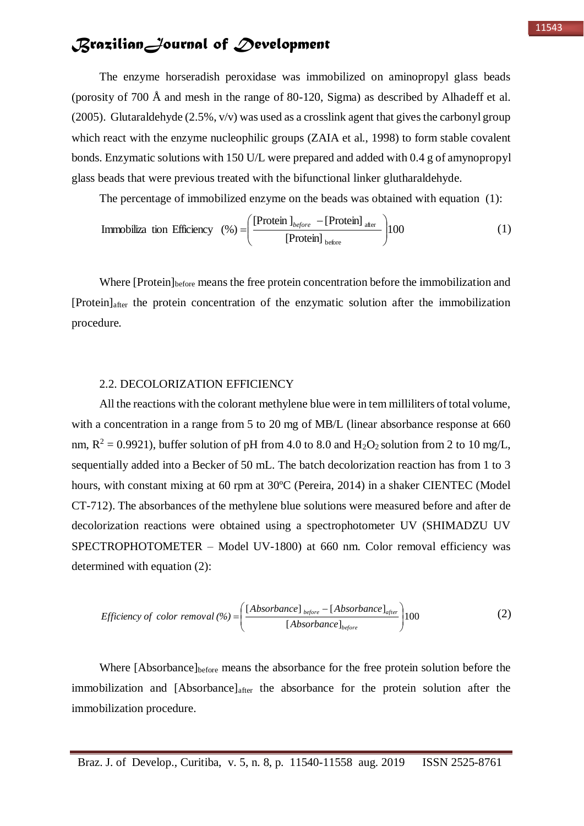The enzyme horseradish peroxidase was immobilized on aminopropyl glass beads (porosity of 700 Å and mesh in the range of 80-120, Sigma) as described by Alhadeff et al. (2005). Glutaraldehyde  $(2.5\%, v/v)$  was used as a crosslink agent that gives the carbonyl group which react with the enzyme nucleophilic groups (ZAIA et al., 1998) to form stable covalent bonds. Enzymatic solutions with 150 U/L were prepared and added with 0.4 g of amynopropyl glass beads that were previous treated with the bifunctional linker glutharaldehyde.

The percentage of immobilized enzyme on the beads was obtained with equation (1):

Immobiliza tion Efficiency 
$$
(\%) = \left( \frac{\text{Protein } I_{before} - \text{[Protein]}_{after}}{\text{[Protein]}_{before}} \right) 100
$$
 (1)

Where [Protein]<sub>before</sub> means the free protein concentration before the immobilization and [Protein]after the protein concentration of the enzymatic solution after the immobilization procedure.

#### 2.2. DECOLORIZATION EFFICIENCY

All the reactions with the colorant methylene blue were in tem milliliters of total volume, with a concentration in a range from 5 to 20 mg of MB/L (linear absorbance response at 660 nm,  $R^2 = 0.9921$ ), buffer solution of pH from 4.0 to 8.0 and H<sub>2</sub>O<sub>2</sub> solution from 2 to 10 mg/L, sequentially added into a Becker of 50 mL. The batch decolorization reaction has from 1 to 3 hours, with constant mixing at 60 rpm at 30ºC (Pereira, 2014) in a shaker CIENTEC (Model CT-712). The absorbances of the methylene blue solutions were measured before and after de decolorization reactions were obtained using a spectrophotometer UV (SHIMADZU UV SPECTROPHOTOMETER – Model UV-1800) at 660 nm. Color removal efficiency was determined with equation (2):

$$
Efficiency of color removal (%) = \left(\frac{[Absorbance]_{before} - [Absorbance]_{after}}{[Absorbance]_{before}}\right) 100
$$
 (2)

Where [Absorbance]before means the absorbance for the free protein solution before the immobilization and [Absorbance]<sub>after</sub> the absorbance for the protein solution after the immobilization procedure.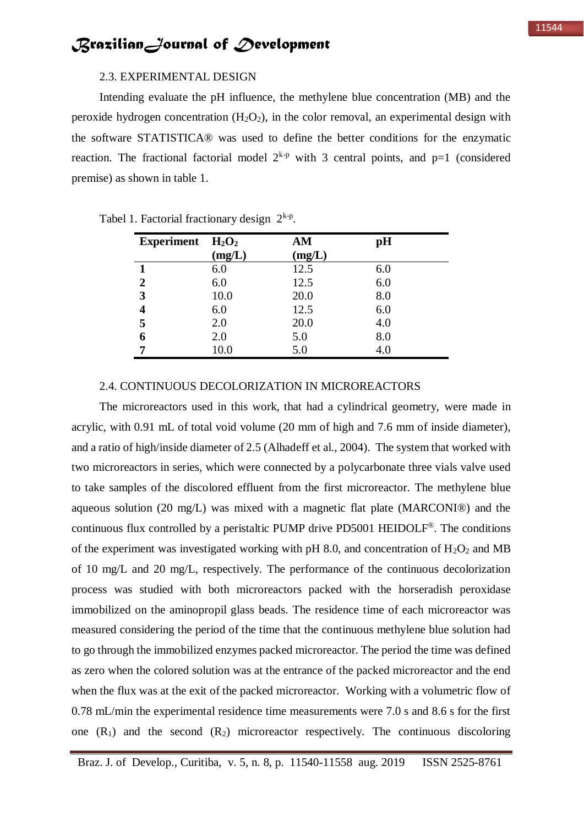Intending evaluate the pH influence, the methylene blue concentration (MB) and the peroxide hydrogen concentration  $(H_2O_2)$ , in the color removal, an experimental design with the software STATISTICA® was used to define the better conditions for the enzymatic reaction. The fractional factorial model  $2^{k-p}$  with 3 central points, and p=1 (considered premise) as shown in table 1.

| <b>Experiment</b> | $H_2O_2$ | AM     | pH  |
|-------------------|----------|--------|-----|
|                   | (mg/L)   | (mg/L) |     |
|                   | 6.0      | 12.5   | 6.0 |
| 2                 | 6.0      | 12.5   | 6.0 |
| 3                 | 10.0     | 20.0   | 8.0 |
| 4                 | 6.0      | 12.5   | 6.0 |
| 5                 | 2.0      | 20.0   | 4.0 |
| 6                 | 2.0      | 5.0    | 8.0 |
| -                 | 10.0     | 5.0    | 4.0 |

|  | Tabel 1. Factorial fractionary design $2^{k-p}$ . |  |
|--|---------------------------------------------------|--|
|  |                                                   |  |

#### 2.4. CONTINUOUS DECOLORIZATION IN MICROREACTORS

The microreactors used in this work, that had a cylindrical geometry, were made in acrylic, with 0.91 mL of total void volume (20 mm of high and 7.6 mm of inside diameter), and a ratio of high/inside diameter of 2.5 (Alhadeff et al., 2004). The system that worked with two microreactors in series, which were connected by a polycarbonate three vials valve used to take samples of the discolored effluent from the first microreactor. The methylene blue aqueous solution (20 mg/L) was mixed with a magnetic flat plate (MARCONI®) and the continuous flux controlled by a peristaltic PUMP drive PD5001 HEIDOLF® . The conditions of the experiment was investigated working with pH 8.0, and concentration of  $H_2O_2$  and MB of 10 mg/L and 20 mg/L, respectively. The performance of the continuous decolorization process was studied with both microreactors packed with the horseradish peroxidase immobilized on the aminopropil glass beads. The residence time of each microreactor was measured considering the period of the time that the continuous methylene blue solution had to go through the immobilized enzymes packed microreactor. The period the time was defined as zero when the colored solution was at the entrance of the packed microreactor and the end when the flux was at the exit of the packed microreactor. Working with a volumetric flow of 0.78 mL/min the experimental residence time measurements were 7.0 s and 8.6 s for the first one  $(R_1)$  and the second  $(R_2)$  microreactor respectively. The continuous discoloring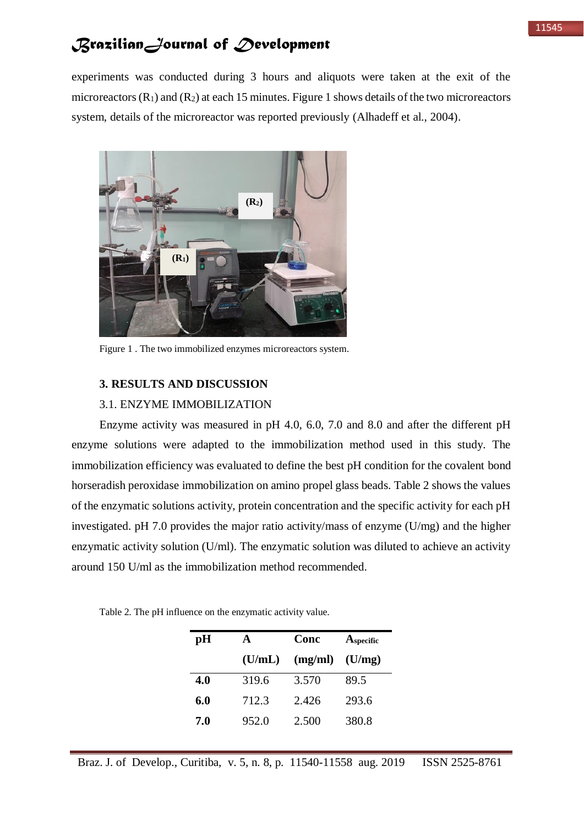experiments was conducted during 3 hours and aliquots were taken at the exit of the microreactors  $(R_1)$  and  $(R_2)$  at each 15 minutes. Figure 1 shows details of the two microreactors system, details of the microreactor was reported previously (Alhadeff et al., 2004).



Figure 1 . The two immobilized enzymes microreactors system.

#### **3. RESULTS AND DISCUSSION**

#### 3.1. ENZYME IMMOBILIZATION

Enzyme activity was measured in pH 4.0, 6.0, 7.0 and 8.0 and after the different pH enzyme solutions were adapted to the immobilization method used in this study. The immobilization efficiency was evaluated to define the best pH condition for the covalent bond horseradish peroxidase immobilization on amino propel glass beads. Table 2 shows the values of the enzymatic solutions activity, protein concentration and the specific activity for each pH investigated. pH 7.0 provides the major ratio activity/mass of enzyme (U/mg) and the higher enzymatic activity solution (U/ml). The enzymatic solution was diluted to achieve an activity around 150 U/ml as the immobilization method recommended.

| pH  | A      | Conc    | A <sub>specific</sub> |  |
|-----|--------|---------|-----------------------|--|
|     | (U/mL) | (mg/ml) | (U/mg)                |  |
| 4.0 | 319.6  | 3.570   | 89.5                  |  |
| 6.0 | 712.3  | 2.426   | 293.6                 |  |
| 7.0 | 952.0  | 2.500   | 380.8                 |  |

Table 2. The pH influence on the enzymatic activity value.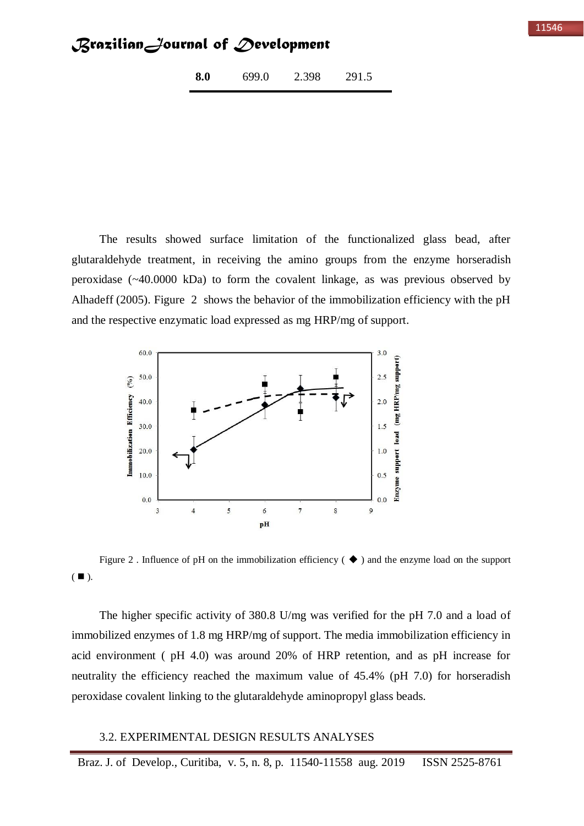**8.0** 699.0 2.398 291.5

The results showed surface limitation of the functionalized glass bead, after glutaraldehyde treatment, in receiving the amino groups from the enzyme horseradish peroxidase (~40.0000 kDa) to form the covalent linkage, as was previous observed by Alhadeff (2005). Figure 2 shows the behavior of the immobilization efficiency with the pH and the respective enzymatic load expressed as mg HRP/mg of support.



Figure 2. Influence of pH on the immobilization efficiency ( $\blacklozenge$ ) and the enzyme load on the support  $(\blacksquare)$ .

The higher specific activity of 380.8 U/mg was verified for the pH 7.0 and a load of immobilized enzymes of 1.8 mg HRP/mg of support. The media immobilization efficiency in acid environment ( pH 4.0) was around 20% of HRP retention, and as pH increase for neutrality the efficiency reached the maximum value of 45.4% (pH 7.0) for horseradish peroxidase covalent linking to the glutaraldehyde aminopropyl glass beads.

#### 3.2. EXPERIMENTAL DESIGN RESULTS ANALYSES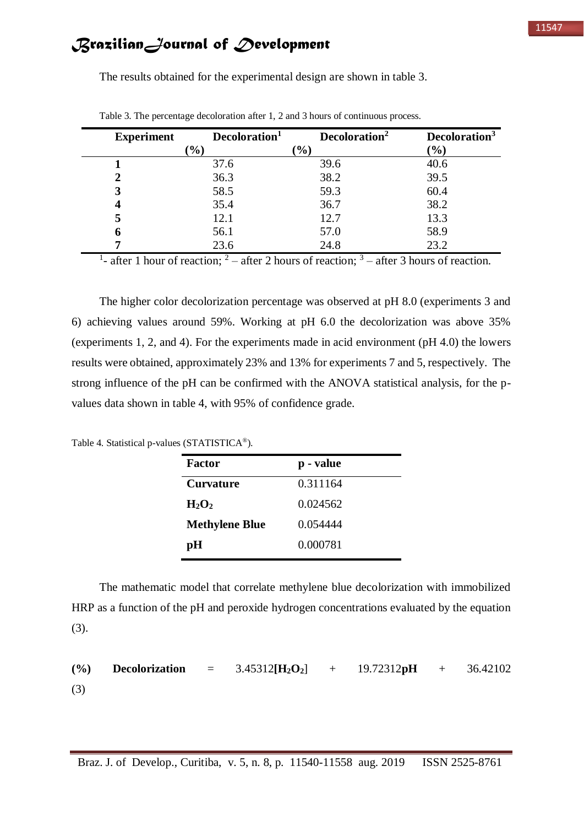| <b>Experiment</b> | Decoloration <sup>1</sup> | Decoloration <sup>2</sup> | Decoloration <sup>3</sup> |
|-------------------|---------------------------|---------------------------|---------------------------|
|                   | $\mathcal{O}_0$           | $\mathcal{O}_0$           | $\mathcal{O}(6)$          |
|                   | 37.6                      | 39.6                      | 40.6                      |
| 2                 | 36.3                      | 38.2                      | 39.5                      |
| 3                 | 58.5                      | 59.3                      | 60.4                      |
| 4                 | 35.4                      | 36.7                      | 38.2                      |
| 5                 | 12.1                      | 12.7                      | 13.3                      |
| 6                 | 56.1                      | 57.0                      | 58.9                      |
| 7                 | 23.6                      | 24.8                      | 23.2                      |

The results obtained for the experimental design are shown in table 3.

Table 3. The percentage decoloration after 1, 2 and 3 hours of continuous process.

<sup>1</sup>- after 1 hour of reaction; <sup>2</sup> – after 2 hours of reaction; <sup>3</sup> – after 3 hours of reaction.

The higher color decolorization percentage was observed at pH 8.0 (experiments 3 and 6) achieving values around 59%. Working at pH 6.0 the decolorization was above 35% (experiments 1, 2, and 4). For the experiments made in acid environment (pH 4.0) the lowers results were obtained, approximately 23% and 13% for experiments 7 and 5, respectively. The strong influence of the pH can be confirmed with the ANOVA statistical analysis, for the pvalues data shown in table 4, with 95% of confidence grade.

Table 4. Statistical p-values (STATISTICA®).

| Factor                | p - value |
|-----------------------|-----------|
| Curvature             | 0.311164  |
| $H_2O_2$              | 0.024562  |
| <b>Methylene Blue</b> | 0.054444  |
| рH                    | 0.000781  |

The mathematic model that correlate methylene blue decolorization with immobilized HRP as a function of the pH and peroxide hydrogen concentrations evaluated by the equation (3).

**(%) Decolorization** = 3.45312**[H2O2**] + 19.72312**pH** + 36.42102 (3)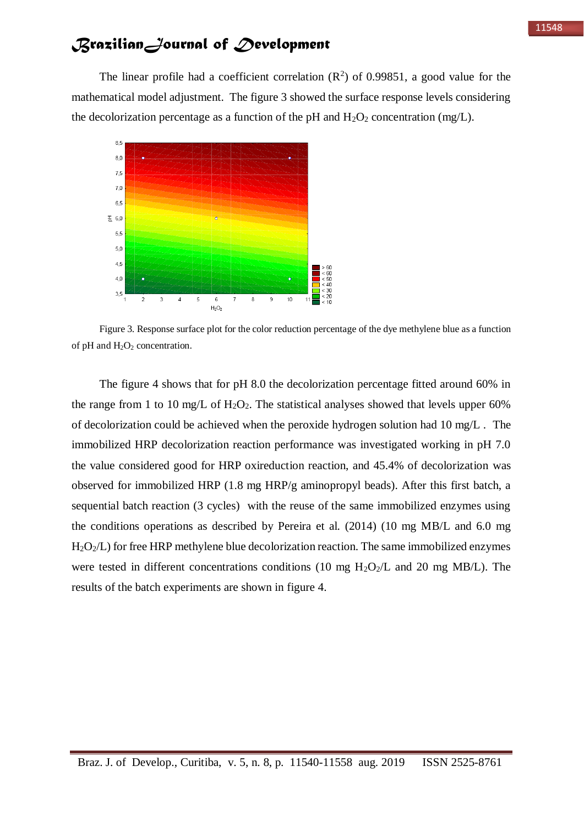The linear profile had a coefficient correlation  $(R^2)$  of 0.99851, a good value for the mathematical model adjustment. The figure 3 showed the surface response levels considering the decolorization percentage as a function of the pH and  $H_2O_2$  concentration (mg/L).



Figure 3. Response surface plot for the color reduction percentage of the dye methylene blue as a function of pH and  $H_2O_2$  concentration.

The figure 4 shows that for pH 8.0 the decolorization percentage fitted around 60% in the range from 1 to 10 mg/L of  $H_2O_2$ . The statistical analyses showed that levels upper 60% of decolorization could be achieved when the peroxide hydrogen solution had 10 mg/L . The immobilized HRP decolorization reaction performance was investigated working in pH 7.0 the value considered good for HRP oxireduction reaction, and 45.4% of decolorization was observed for immobilized HRP (1.8 mg HRP/g aminopropyl beads). After this first batch, a sequential batch reaction (3 cycles) with the reuse of the same immobilized enzymes using the conditions operations as described by Pereira et al. (2014) (10 mg MB/L and 6.0 mg H2O2/L) for free HRP methylene blue decolorization reaction. The same immobilized enzymes were tested in different concentrations conditions (10 mg  $H_2O_2/L$  and 20 mg MB/L). The results of the batch experiments are shown in figure 4.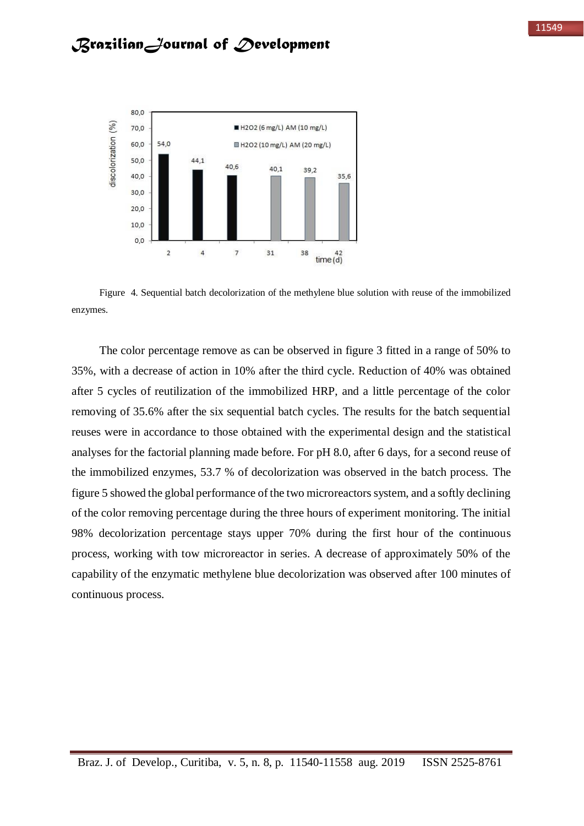

Figure 4. Sequential batch decolorization of the methylene blue solution with reuse of the immobilized enzymes.

The color percentage remove as can be observed in figure 3 fitted in a range of 50% to 35%, with a decrease of action in 10% after the third cycle. Reduction of 40% was obtained after 5 cycles of reutilization of the immobilized HRP, and a little percentage of the color removing of 35.6% after the six sequential batch cycles. The results for the batch sequential reuses were in accordance to those obtained with the experimental design and the statistical analyses for the factorial planning made before. For pH 8.0, after 6 days, for a second reuse of the immobilized enzymes, 53.7 % of decolorization was observed in the batch process. The figure 5 showed the global performance of the two microreactors system, and a softly declining of the color removing percentage during the three hours of experiment monitoring. The initial 98% decolorization percentage stays upper 70% during the first hour of the continuous process, working with tow microreactor in series. A decrease of approximately 50% of the capability of the enzymatic methylene blue decolorization was observed after 100 minutes of continuous process.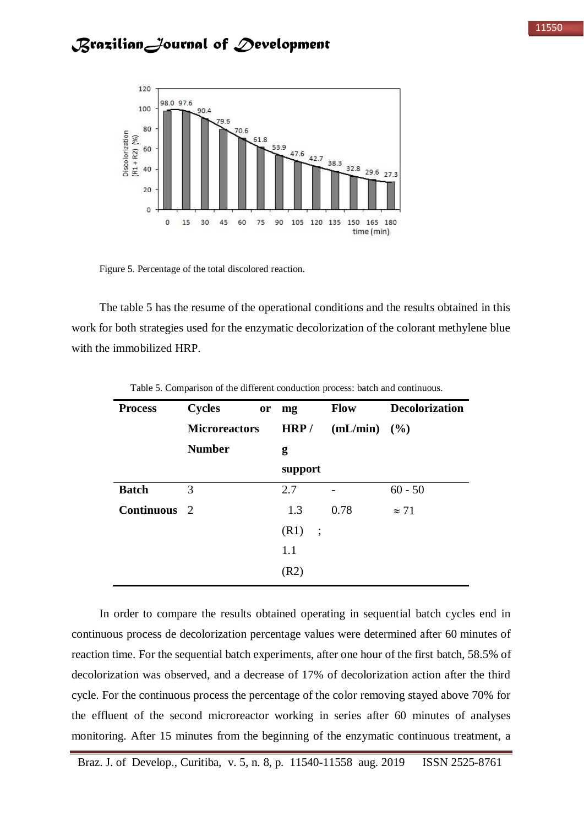

Figure 5. Percentage of the total discolored reaction.

The table 5 has the resume of the operational conditions and the results obtained in this work for both strategies used for the enzymatic decolorization of the colorant methylene blue with the immobilized HRP.

| <b>Process</b>    | <b>Cycles</b><br><b>or</b><br><b>Microreactors</b> | mg<br>HRP/ | <b>Flow</b><br>$(mL/min)$ (%) | <b>Decolorization</b> |
|-------------------|----------------------------------------------------|------------|-------------------------------|-----------------------|
|                   | <b>Number</b>                                      | g          |                               |                       |
|                   |                                                    | support    |                               |                       |
| <b>Batch</b>      | 3                                                  | 2.7        |                               | $60 - 50$             |
| <b>Continuous</b> | -2                                                 | 1.3        | 0.78                          | $\approx$ 71          |
|                   |                                                    | (R1)<br>:  |                               |                       |
|                   |                                                    | 1.1        |                               |                       |
|                   |                                                    | (R2)       |                               |                       |

Table 5. Comparison of the different conduction process: batch and continuous.

In order to compare the results obtained operating in sequential batch cycles end in continuous process de decolorization percentage values were determined after 60 minutes of reaction time. For the sequential batch experiments, after one hour of the first batch, 58.5% of decolorization was observed, and a decrease of 17% of decolorization action after the third cycle. For the continuous process the percentage of the color removing stayed above 70% for the effluent of the second microreactor working in series after 60 minutes of analyses monitoring. After 15 minutes from the beginning of the enzymatic continuous treatment, a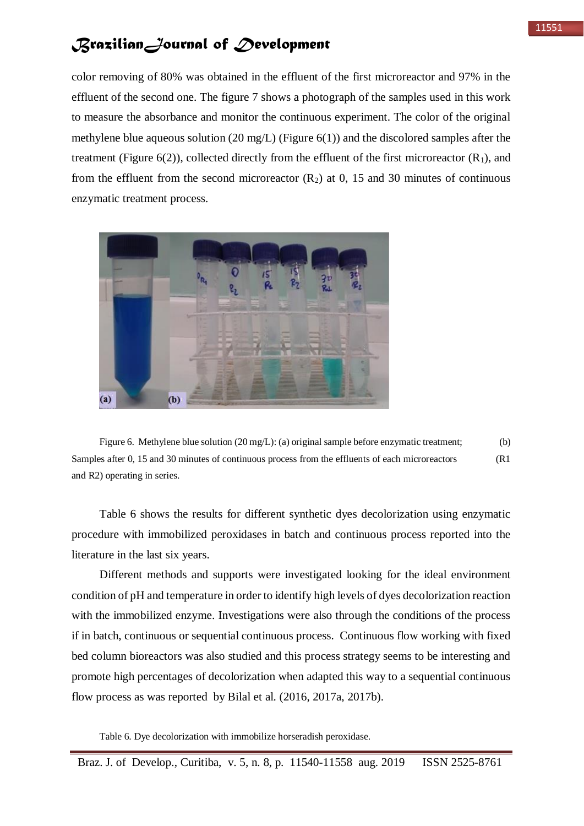color removing of 80% was obtained in the effluent of the first microreactor and 97% in the effluent of the second one. The figure 7 shows a photograph of the samples used in this work to measure the absorbance and monitor the continuous experiment. The color of the original methylene blue aqueous solution (20 mg/L) (Figure  $6(1)$ ) and the discolored samples after the treatment (Figure  $6(2)$ ), collected directly from the effluent of the first microreactor  $(R_1)$ , and from the effluent from the second microreactor  $(R_2)$  at 0, 15 and 30 minutes of continuous enzymatic treatment process.



Figure 6. Methylene blue solution (20 mg/L): (a) original sample before enzymatic treatment; (b) Samples after 0, 15 and 30 minutes of continuous process from the effluents of each microreactors (R1 and R2) operating in series.

Table 6 shows the results for different synthetic dyes decolorization using enzymatic procedure with immobilized peroxidases in batch and continuous process reported into the literature in the last six years.

Different methods and supports were investigated looking for the ideal environment condition of pH and temperature in order to identify high levels of dyes decolorization reaction with the immobilized enzyme. Investigations were also through the conditions of the process if in batch, continuous or sequential continuous process. Continuous flow working with fixed bed column bioreactors was also studied and this process strategy seems to be interesting and promote high percentages of decolorization when adapted this way to a sequential continuous flow process as was reported by Bilal et al. (2016, 2017a, 2017b).

Table 6. Dye decolorization with immobilize horseradish peroxidase.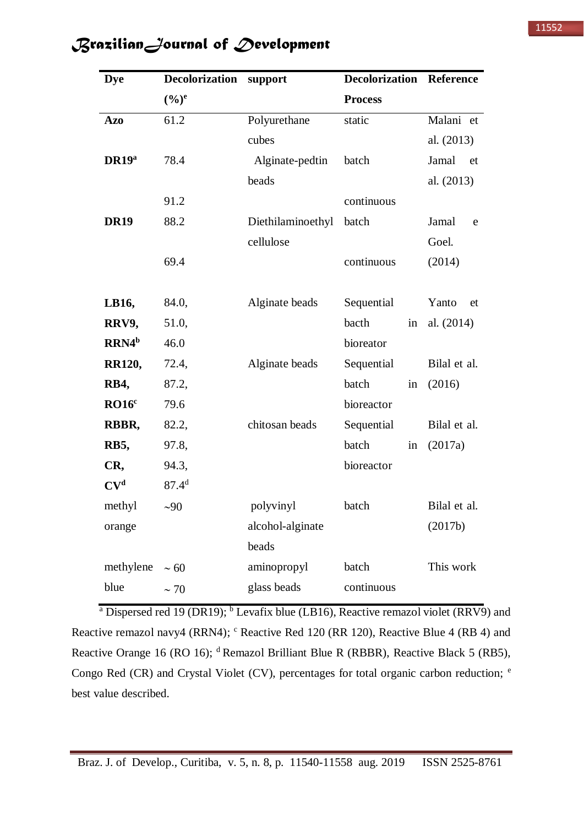| <b>Dye</b>        | <b>Decolorization</b> | support           | <b>Decolorization</b> | Reference    |
|-------------------|-----------------------|-------------------|-----------------------|--------------|
|                   | $(\frac{6}{6})^e$     |                   | <b>Process</b>        |              |
| <b>Azo</b>        | 61.2                  | Polyurethane      | static                | Malani et    |
|                   |                       | cubes             |                       | al. (2013)   |
| DR19 <sup>a</sup> | 78.4                  | Alginate-pedtin   | batch                 | Jamal<br>et  |
|                   |                       | beads             |                       | al. (2013)   |
|                   | 91.2                  |                   | continuous            |              |
| <b>DR19</b>       | 88.2                  | Diethilaminoethyl | batch                 | Jamal<br>e   |
|                   |                       | cellulose         |                       | Goel.        |
|                   | 69.4                  |                   | continuous            | (2014)       |
|                   |                       |                   |                       |              |
| LB16,             | 84.0,                 | Alginate beads    | Sequential            | Yanto<br>et  |
| RRV9,             | 51.0,                 |                   | bacth<br>in           | al. $(2014)$ |
| RRN4 <sup>b</sup> | 46.0                  |                   | bioreator             |              |
| <b>RR120,</b>     | 72.4,                 | Alginate beads    | Sequential            | Bilal et al. |
| <b>RB4,</b>       | 87.2,                 |                   | batch<br>in           | (2016)       |
| RO16 <sup>c</sup> | 79.6                  |                   | bioreactor            |              |
| RBBR,             | 82.2,                 | chitosan beads    | Sequential            | Bilal et al. |
| <b>RB5,</b>       | 97.8,                 |                   | batch<br>in           | (2017a)      |
| CR,               | 94.3,                 |                   | bioreactor            |              |
| CV <sup>d</sup>   | $87.4^{d}$            |                   |                       |              |
| methyl            | ~100                  | polyvinyl         | batch                 | Bilal et al. |
| orange            |                       | alcohol-alginate  |                       | (2017b)      |
|                   |                       | beads             |                       |              |
| methylene         | $\sim 60$             | aminopropyl       | batch                 | This work    |
| blue              | $\sim$ 70             | glass beads       | continuous            |              |
|                   |                       |                   |                       |              |

<sup>a</sup> Dispersed red 19 (DR19); <sup>b</sup> Levafix blue (LB16), Reactive remazol violet (RRV9) and Reactive remazol navy4 (RRN4); <sup>c</sup> Reactive Red 120 (RR 120), Reactive Blue 4 (RB 4) and Reactive Orange 16 (RO 16); <sup>d</sup>Remazol Brilliant Blue R (RBBR), Reactive Black 5 (RB5), Congo Red (CR) and Crystal Violet (CV), percentages for total organic carbon reduction; <sup>e</sup> best value described.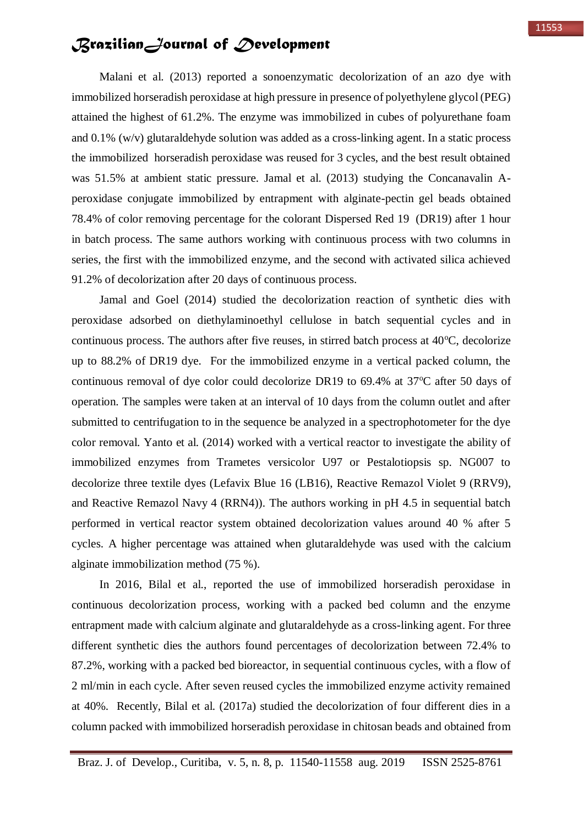Malani et al. (2013) reported a sonoenzymatic decolorization of an azo dye with immobilized horseradish peroxidase at high pressure in presence of polyethylene glycol (PEG) attained the highest of 61.2%. The enzyme was immobilized in cubes of polyurethane foam and 0.1% (w/v) glutaraldehyde solution was added as a cross-linking agent. In a static process the immobilized horseradish peroxidase was reused for 3 cycles, and the best result obtained was 51.5% at ambient static pressure. Jamal et al. (2013) studying the Concanavalin Aperoxidase conjugate immobilized by entrapment with alginate-pectin gel beads obtained 78.4% of color removing percentage for the colorant Dispersed Red 19 (DR19) after 1 hour in batch process. The same authors working with continuous process with two columns in series, the first with the immobilized enzyme, and the second with activated silica achieved 91.2% of decolorization after 20 days of continuous process.

Jamal and Goel (2014) studied the decolorization reaction of synthetic dies with peroxidase adsorbed on diethylaminoethyl cellulose in batch sequential cycles and in continuous process. The authors after five reuses, in stirred batch process at  $40^{\circ}$ C, decolorize up to 88.2% of DR19 dye. For the immobilized enzyme in a vertical packed column, the continuous removal of dye color could decolorize DR19 to  $69.4\%$  at  $37^{\circ}$ C after 50 days of operation. The samples were taken at an interval of 10 days from the column outlet and after submitted to centrifugation to in the sequence be analyzed in a spectrophotometer for the dye color removal. Yanto et al. (2014) worked with a vertical reactor to investigate the ability of immobilized enzymes from Trametes versicolor U97 or Pestalotiopsis sp. NG007 to decolorize three textile dyes (Lefavix Blue 16 (LB16), Reactive Remazol Violet 9 (RRV9), and Reactive Remazol Navy 4 (RRN4)). The authors working in pH 4.5 in sequential batch performed in vertical reactor system obtained decolorization values around 40 % after 5 cycles. A higher percentage was attained when glutaraldehyde was used with the calcium alginate immobilization method (75 %).

In 2016, Bilal et al., reported the use of immobilized horseradish peroxidase in continuous decolorization process, working with a packed bed column and the enzyme entrapment made with calcium alginate and glutaraldehyde as a cross-linking agent. For three different synthetic dies the authors found percentages of decolorization between 72.4% to 87.2%, working with a packed bed bioreactor, in sequential continuous cycles, with a flow of 2 ml/min in each cycle. After seven reused cycles the immobilized enzyme activity remained at 40%. Recently, Bilal et al. (2017a) studied the decolorization of four different dies in a column packed with immobilized horseradish peroxidase in chitosan beads and obtained from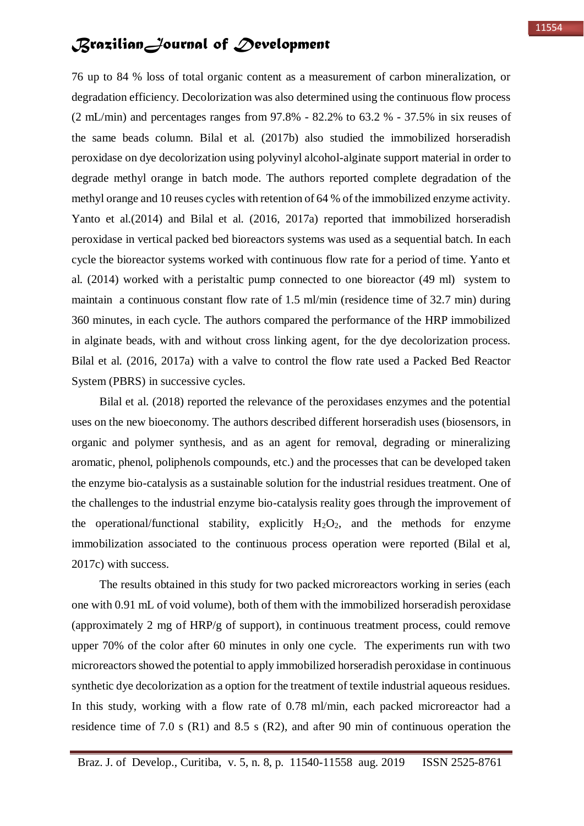76 up to 84 % loss of total organic content as a measurement of carbon mineralization, or degradation efficiency. Decolorization was also determined using the continuous flow process (2 mL/min) and percentages ranges from 97.8% - 82.2% to 63.2 % - 37.5% in six reuses of the same beads column. Bilal et al. (2017b) also studied the immobilized horseradish peroxidase on dye decolorization using polyvinyl alcohol-alginate support material in order to degrade methyl orange in batch mode. The authors reported complete degradation of the methyl orange and 10 reuses cycles with retention of 64 % of the immobilized enzyme activity. Yanto et al.(2014) and Bilal et al. (2016, 2017a) reported that immobilized horseradish peroxidase in vertical packed bed bioreactors systems was used as a sequential batch. In each cycle the bioreactor systems worked with continuous flow rate for a period of time. Yanto et al. (2014) worked with a peristaltic pump connected to one bioreactor (49 ml) system to maintain a continuous constant flow rate of 1.5 ml/min (residence time of 32.7 min) during 360 minutes, in each cycle. The authors compared the performance of the HRP immobilized in alginate beads, with and without cross linking agent, for the dye decolorization process. Bilal et al. (2016, 2017a) with a valve to control the flow rate used a Packed Bed Reactor System (PBRS) in successive cycles.

Bilal et al. (2018) reported the relevance of the peroxidases enzymes and the potential uses on the new bioeconomy. The authors described different horseradish uses (biosensors, in organic and polymer synthesis, and as an agent for removal, degrading or mineralizing aromatic, phenol, poliphenols compounds, etc.) and the processes that can be developed taken the enzyme bio-catalysis as a sustainable solution for the industrial residues treatment. One of the challenges to the industrial enzyme bio-catalysis reality goes through the improvement of the operational/functional stability, explicitly  $H_2O_2$ , and the methods for enzyme immobilization associated to the continuous process operation were reported (Bilal et al, 2017c) with success.

The results obtained in this study for two packed microreactors working in series (each one with 0.91 mL of void volume), both of them with the immobilized horseradish peroxidase (approximately 2 mg of HRP/g of support), in continuous treatment process, could remove upper 70% of the color after 60 minutes in only one cycle. The experiments run with two microreactors showed the potential to apply immobilized horseradish peroxidase in continuous synthetic dye decolorization as a option for the treatment of textile industrial aqueous residues. In this study, working with a flow rate of 0.78 ml/min, each packed microreactor had a residence time of 7.0 s (R1) and 8.5 s (R2), and after 90 min of continuous operation the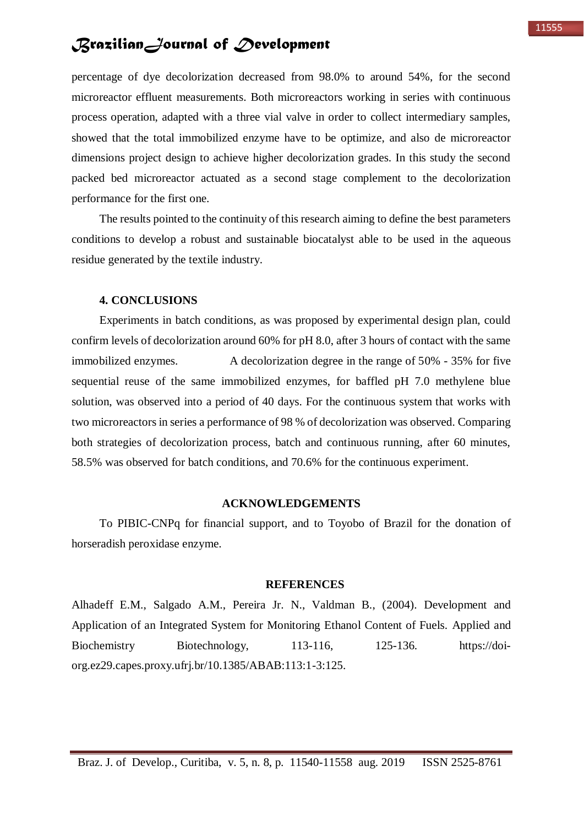percentage of dye decolorization decreased from 98.0% to around 54%, for the second microreactor effluent measurements. Both microreactors working in series with continuous process operation, adapted with a three vial valve in order to collect intermediary samples, showed that the total immobilized enzyme have to be optimize, and also de microreactor dimensions project design to achieve higher decolorization grades. In this study the second packed bed microreactor actuated as a second stage complement to the decolorization performance for the first one.

The results pointed to the continuity of this research aiming to define the best parameters conditions to develop a robust and sustainable biocatalyst able to be used in the aqueous residue generated by the textile industry.

#### **4. CONCLUSIONS**

Experiments in batch conditions, as was proposed by experimental design plan, could confirm levels of decolorization around 60% for pH 8.0, after 3 hours of contact with the same immobilized enzymes. A decolorization degree in the range of 50% - 35% for five sequential reuse of the same immobilized enzymes, for baffled pH 7.0 methylene blue solution, was observed into a period of 40 days. For the continuous system that works with two microreactors in series a performance of 98 % of decolorization was observed. Comparing both strategies of decolorization process, batch and continuous running, after 60 minutes, 58.5% was observed for batch conditions, and 70.6% for the continuous experiment.

#### **ACKNOWLEDGEMENTS**

To PIBIC-CNPq for financial support, and to Toyobo of Brazil for the donation of horseradish peroxidase enzyme.

#### **REFERENCES**

Alhadeff E.M., Salgado A.M., Pereira Jr. N., Valdman B., (2004). Development and Application of an Integrated System for Monitoring Ethanol Content of Fuels. Applied and Biochemistry Biotechnology, 113-116, 125-136. https://doiorg.ez29.capes.proxy.ufrj.br/10.1385/ABAB:113:1-3:125.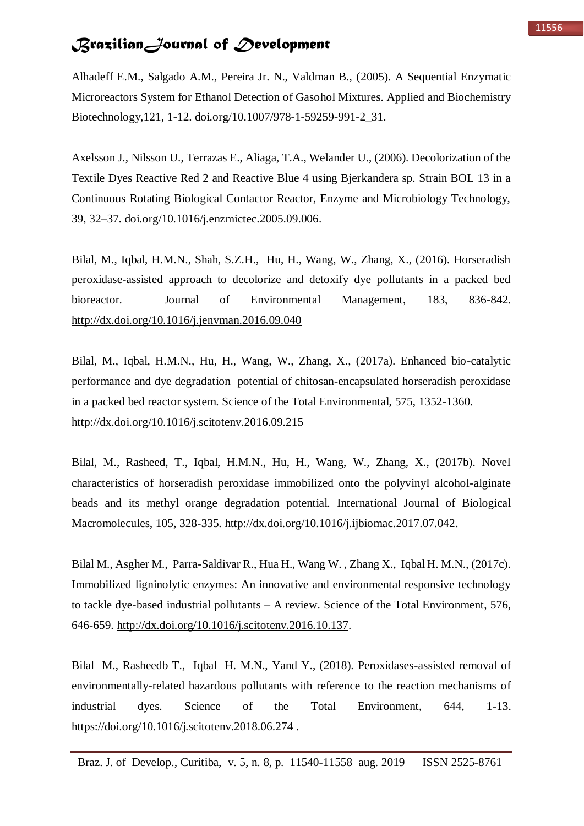Alhadeff E.M., Salgado A.M., Pereira Jr. N., Valdman B., (2005). A Sequential Enzymatic Microreactors System for Ethanol Detection of Gasohol Mixtures. Applied and Biochemistry Biotechnology,121, 1-12. doi.org/10.1007/978-1-59259-991-2\_31.

Axelsson J., Nilsson U., Terrazas E., Aliaga, T.A., Welander U., (2006). Decolorization of the Textile Dyes Reactive Red 2 and Reactive Blue 4 using Bjerkandera sp. Strain BOL 13 in a Continuous Rotating Biological Contactor Reactor, Enzyme and Microbiology Technology, 39, 32–37. [doi.org/10.1016/j.enzmictec.2005.09.006.](https://doi.org/10.1016/j.enzmictec.2005.09.006)

Bilal, M., Iqbal, H.M.N., Shah, S.Z.H., Hu, H., Wang, W., Zhang, X., (2016). Horseradish peroxidase-assisted approach to decolorize and detoxify dye pollutants in a packed bed bioreactor. Journal of Environmental Management, 183, 836-842. <http://dx.doi.org/10.1016/j.jenvman.2016.09.040>

Bilal, M., Iqbal, H.M.N., Hu, H., Wang, W., Zhang, X., (2017a). Enhanced bio-catalytic performance and dye degradation potential of chitosan-encapsulated horseradish peroxidase in a packed bed reactor system. Science of the Total Environmental, 575, 1352-1360. <http://dx.doi.org/10.1016/j.scitotenv.2016.09.215>

Bilal, M., Rasheed, T., Iqbal, H.M.N., Hu, H., Wang, W., Zhang, X., (2017b). Novel characteristics of horseradish peroxidase immobilized onto the polyvinyl alcohol-alginate beads and its methyl orange degradation potential. International Journal of Biological Macromolecules, 105, 328-335. [http://dx.doi.org/10.1016/j.ijbiomac.2017.07.042.](http://dx.doi.org/10.1016/j.ijbiomac.2017.07.042)

Bilal M., Asgher M., Parra-Saldivar R., Hua H., Wang W. , Zhang X., Iqbal H. M.N., (2017c). Immobilized ligninolytic enzymes: An innovative and environmental responsive technology to tackle dye-based industrial pollutants – A review. Science of the Total Environment, 576, 646-659. [http://dx.doi.org/10.1016/j.scitotenv.2016.10.137.](http://dx.doi.org/10.1016/j.scitotenv.2016.10.137)

Bilal M., Rasheedb T., Iqbal H. M.N., Yand Y., (2018). Peroxidases-assisted removal of environmentally-related hazardous pollutants with reference to the reaction mechanisms of industrial dyes. Science of the Total Environment, 644, 1-13. https://doi.org/10.1016/i.scitotenv.2018.06.274.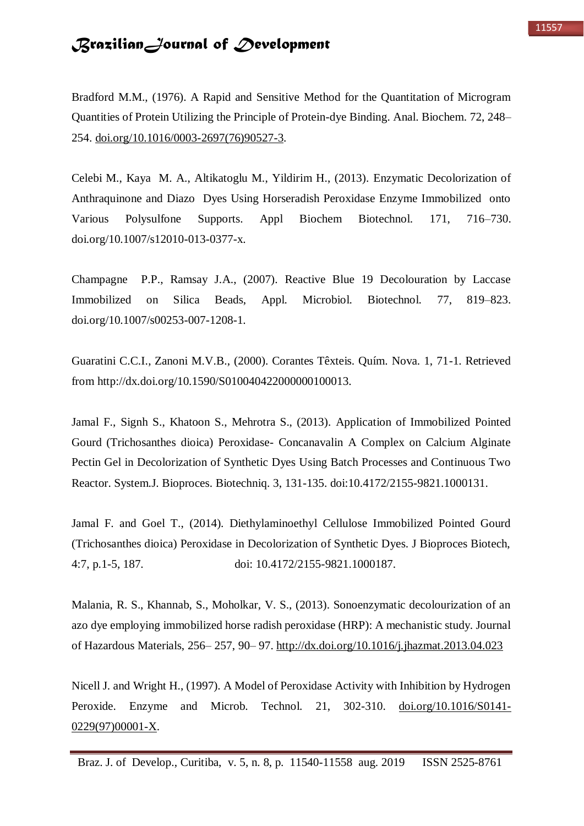Bradford M.M., (1976). A Rapid and Sensitive Method for the Quantitation of Microgram Quantities of Protein Utilizing the Principle of Protein-dye Binding. Anal. Biochem. 72, 248– 254. [doi.org/10.1016/0003-2697\(76\)90527-3.](https://doi.org/10.1016/0003-2697(76)90527-3)

Celebi M., Kaya M. A., Altikatoglu M., Yildirim H., (2013). Enzymatic Decolorization of Anthraquinone and Diazo Dyes Using Horseradish Peroxidase Enzyme Immobilized onto Various Polysulfone Supports. Appl Biochem Biotechnol. 171, 716–730. doi.org/10.1007/s12010-013-0377-x.

Champagne P.P., Ramsay J.A., (2007). Reactive Blue 19 Decolouration by Laccase Immobilized on Silica Beads, Appl. Microbiol. Biotechnol. 77, 819–823. doi.org/10.1007/s00253-007-1208-1.

Guaratini C.C.I., Zanoni M.V.B., (2000). Corantes Têxteis. Quím. Nova. 1, 71-1. Retrieved from http://dx.doi.org/10.1590/S010040422000000100013.

Jamal F., Signh S., Khatoon S., Mehrotra S., (2013). Application of Immobilized Pointed Gourd (Trichosanthes dioica) Peroxidase- Concanavalin A Complex on Calcium Alginate Pectin Gel in Decolorization of Synthetic Dyes Using Batch Processes and Continuous Two Reactor. System.J. Bioproces. Biotechniq. 3, 131-135. doi:10.4172/2155-9821.1000131.

Jamal F. and Goel T., (2014). Diethylaminoethyl Cellulose Immobilized Pointed Gourd (Trichosanthes dioica) Peroxidase in Decolorization of Synthetic Dyes. J Bioproces Biotech, 4:7, p.1-5, 187. doi: 10.4172/2155-9821.1000187.

Malania, R. S., Khannab, S., Moholkar, V. S., (2013). Sonoenzymatic decolourization of an azo dye employing immobilized horse radish peroxidase (HRP): A mechanistic study. Journal of Hazardous Materials, 256– 257, 90– 97.<http://dx.doi.org/10.1016/j.jhazmat.2013.04.023>

Nicell J. and Wright H., (1997). A Model of Peroxidase Activity with Inhibition by Hydrogen Peroxide. Enzyme and Microb. Technol. 21, 302-310. [doi.org/10.1016/S0141-](https://doi.org/10.1016/S0141-0229(97)00001-X) [0229\(97\)00001-X.](https://doi.org/10.1016/S0141-0229(97)00001-X)

Braz. J. of Develop., Curitiba, v. 5, n. 8, p. 11540-11558 aug. 2019 ISSN 2525-8761